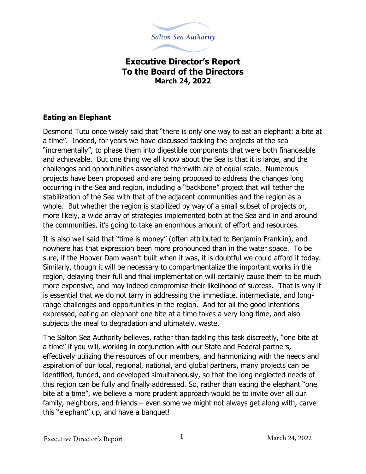

## **Executive Director's Report To the Board of the Directors March 24, 2022**

## **Eating an Elephant**

Desmond Tutu once wisely said that "there is only one way to eat an elephant: a bite at a time". Indeed, for years we have discussed tackling the projects at the sea "incrementally", to phase them into digestible components that were both financeable and achievable. But one thing we all know about the Sea is that it is large, and the challenges and opportunities associated therewith are of equal scale. Numerous projects have been proposed and are being proposed to address the changes long occurring in the Sea and region, including a "backbone" project that will tether the stabilization of the Sea with that of the adjacent communities and the region as a whole. But whether the region is stabilized by way of a small subset of projects or, more likely, a wide array of strategies implemented both at the Sea and in and around the communities, it's going to take an enormous amount of effort and resources.

It is also well said that "time is money" (often attributed to Benjamin Franklin), and nowhere has that expression been more pronounced than in the water space. To be sure, if the Hoover Dam wasn't built when it was, it is doubtful we could afford it today. Similarly, though it will be necessary to compartmentalize the important works in the region, delaying their full and final implementation will certainly cause them to be much more expensive, and may indeed compromise their likelihood of success. That is why it is essential that we do not tarry in addressing the immediate, intermediate, and longrange challenges and opportunities in the region. And for all the good intentions expressed, eating an elephant one bite at a time takes a very long time, and also subjects the meal to degradation and ultimately, waste.

The Salton Sea Authority believes, rather than tackling this task discreetly, "one bite at a time" if you will, working in conjunction with our State and Federal partners, effectively utilizing the resources of our members, and harmonizing with the needs and aspiration of our local, regional, national, and global partners, many projects can be identified, funded, and developed simultaneously, so that the long neglected needs of this region can be fully and finally addressed. So, rather than eating the elephant "one bite at a time", we believe a more prudent approach would be to invite over all our family, neighbors, and friends – even some we might not always get along with, carve this "elephant" up, and have a banquet!